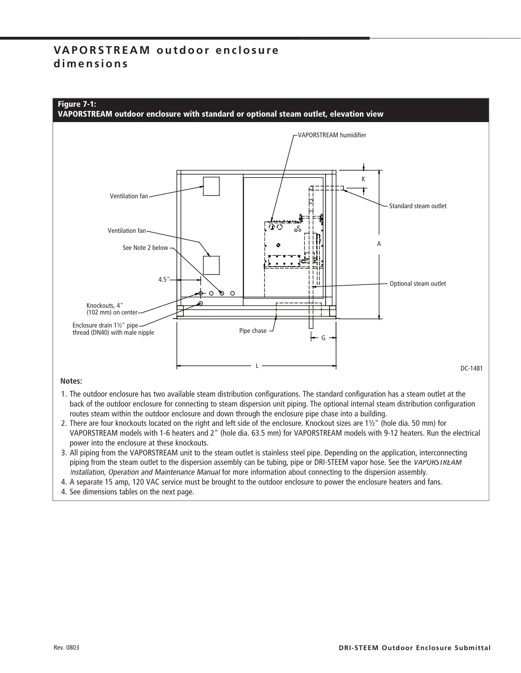## **VA P O R S T R E A M o u t d o o r e n c l o s u re d i m e n s i o n s**



#### **Notes:**

- 1. The outdoor enclosure has two available steam distribution configurations. The standard configuration has a steam outlet at the back of the outdoor enclosure for connecting to steam dispersion unit piping. The optional internal steam distribution configuration routes steam within the outdoor enclosure and down through the enclosure pipe chase into a building.
- 2. There are four knockouts located on the right and left side of the enclosure. Knockout sizes are 11⁄2" (hole dia. 50 mm) for VAPORSTREAM models with 1-6 heaters and 2" (hole dia. 63.5 mm) for VAPORSTREAM models with 9-12 heaters. Run the electrical power into the enclosure at these knockouts.
- 3. All piping from the VAPORSTREAM unit to the steam outlet is stainless steel pipe. Depending on the application, interconnecting piping from the steam outlet to the dispersion assembly can be tubing, pipe or DRI-STEEM vapor hose. See the VAPORSTREAM Installation, Operation and Maintenance Manual for more information about connecting to the dispersion assembly.

4. A separate 15 amp, 120 VAC service must be brought to the outdoor enclosure to power the enclosure heaters and fans.

4. See dimensions tables on the next page.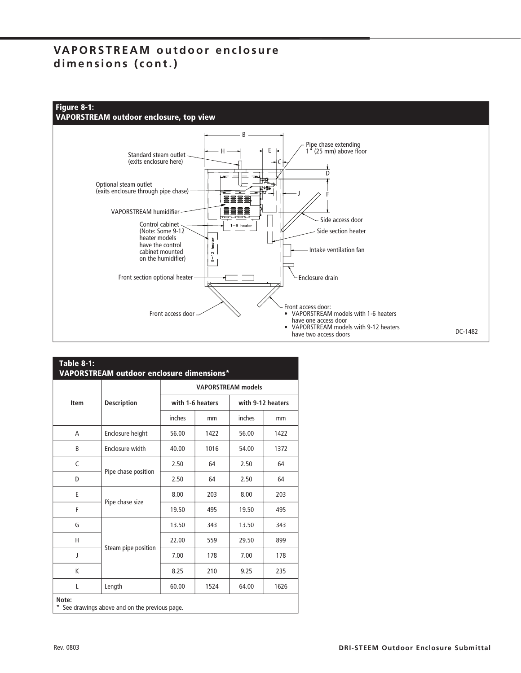## **VAPORSTREAM outdoor enclosure** dimensions (cont.)



| <b>Item</b> | <b>Description</b>  | <b>VAPORSTREAM</b> models |      |                   |      |
|-------------|---------------------|---------------------------|------|-------------------|------|
|             |                     | with 1-6 heaters          |      | with 9-12 heaters |      |
|             |                     | inches                    | mm   | inches            | mm   |
| A           | Enclosure height    | 56.00                     | 1422 | 56.00             | 1422 |
| B           | Enclosure width     | 40.00                     | 1016 | 54.00             | 1372 |
| C           |                     | 2.50                      | 64   | 2.50              | 64   |
| D           | Pipe chase position | 2.50                      | 64   | 2.50              | 64   |
| F           |                     | 8.00                      | 203  | 8.00              | 203  |
| F           | Pipe chase size     | 19.50                     | 495  | 19.50             | 495  |
| G           |                     | 13.50                     | 343  | 13.50             | 343  |
| H           |                     | 22.00                     | 559  | 29.50             | 899  |
| J           | Steam pipe position | 7.00                      | 178  | 7.00              | 178  |
| K           |                     | 8.25                      | 210  | 9.25              | 235  |
| L           | Length              | 60.00                     | 1524 | 64.00             | 1626 |

Rev. 0803 **DRI-STEEM Outdoor Enclosure Submittal**